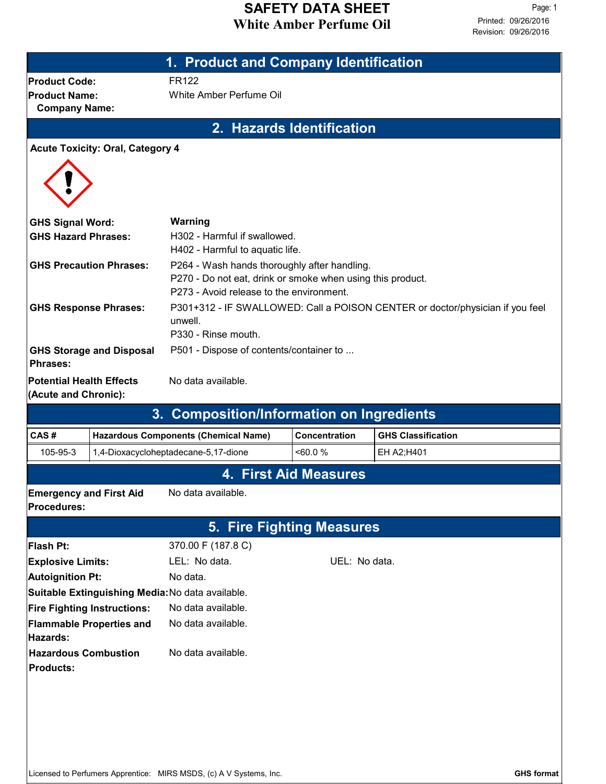## **White Amber Perfume Oil SAFETY DATA SHEET**

|                                                       |                                 | 1. Product and Company Identification                                                    |                              |                           |  |  |  |  |
|-------------------------------------------------------|---------------------------------|------------------------------------------------------------------------------------------|------------------------------|---------------------------|--|--|--|--|
| <b>Product Code:</b>                                  |                                 | <b>FR122</b>                                                                             |                              |                           |  |  |  |  |
| <b>Product Name:</b>                                  |                                 | White Amber Perfume Oil                                                                  |                              |                           |  |  |  |  |
| <b>Company Name:</b>                                  |                                 |                                                                                          |                              |                           |  |  |  |  |
| 2. Hazards Identification                             |                                 |                                                                                          |                              |                           |  |  |  |  |
| <b>Acute Toxicity: Oral, Category 4</b>               |                                 |                                                                                          |                              |                           |  |  |  |  |
|                                                       |                                 |                                                                                          |                              |                           |  |  |  |  |
|                                                       |                                 |                                                                                          |                              |                           |  |  |  |  |
|                                                       |                                 | Warning                                                                                  |                              |                           |  |  |  |  |
| <b>GHS Signal Word:</b><br><b>GHS Hazard Phrases:</b> |                                 | H302 - Harmful if swallowed.                                                             |                              |                           |  |  |  |  |
|                                                       |                                 | H402 - Harmful to aquatic life.                                                          |                              |                           |  |  |  |  |
|                                                       | <b>GHS Precaution Phrases:</b>  | P264 - Wash hands thoroughly after handling.                                             |                              |                           |  |  |  |  |
|                                                       |                                 | P270 - Do not eat, drink or smoke when using this product.                               |                              |                           |  |  |  |  |
|                                                       |                                 | P273 - Avoid release to the environment.                                                 |                              |                           |  |  |  |  |
| <b>GHS Response Phrases:</b>                          |                                 | P301+312 - IF SWALLOWED: Call a POISON CENTER or doctor/physician if you feel<br>unwell. |                              |                           |  |  |  |  |
|                                                       |                                 | P330 - Rinse mouth.                                                                      |                              |                           |  |  |  |  |
|                                                       | <b>GHS Storage and Disposal</b> | P501 - Dispose of contents/container to                                                  |                              |                           |  |  |  |  |
| <b>Phrases:</b>                                       |                                 |                                                                                          |                              |                           |  |  |  |  |
| <b>Potential Health Effects</b>                       |                                 | No data available.                                                                       |                              |                           |  |  |  |  |
| (Acute and Chronic):                                  |                                 |                                                                                          |                              |                           |  |  |  |  |
|                                                       |                                 | 3. Composition/Information on Ingredients                                                |                              |                           |  |  |  |  |
| CAS#                                                  |                                 | <b>Hazardous Components (Chemical Name)</b>                                              | <b>Concentration</b>         | <b>GHS Classification</b> |  |  |  |  |
| 105-95-3                                              |                                 | 1,4-Dioxacycloheptadecane-5,17-dione                                                     | $&50.0\%$                    | EH A2;H401                |  |  |  |  |
|                                                       |                                 |                                                                                          | <b>4. First Aid Measures</b> |                           |  |  |  |  |
| <b>Emergency and First Aid</b>                        |                                 | No data available.                                                                       |                              |                           |  |  |  |  |
| <b>Procedures:</b>                                    |                                 |                                                                                          |                              |                           |  |  |  |  |
|                                                       |                                 |                                                                                          | 5. Fire Fighting Measures    |                           |  |  |  |  |
| <b>Flash Pt:</b>                                      |                                 | 370.00 F (187.8 C)                                                                       |                              |                           |  |  |  |  |
| <b>Explosive Limits:</b>                              |                                 | LEL: No data.                                                                            | UEL: No data.                |                           |  |  |  |  |
| Autoignition Pt:                                      |                                 | No data.                                                                                 |                              |                           |  |  |  |  |
|                                                       |                                 | Suitable Extinguishing Media: No data available.                                         |                              |                           |  |  |  |  |
| <b>Fire Fighting Instructions:</b>                    |                                 | No data available.                                                                       |                              |                           |  |  |  |  |
| <b>Flammable Properties and</b><br>Hazards:           |                                 | No data available.                                                                       |                              |                           |  |  |  |  |
| <b>Hazardous Combustion</b>                           |                                 | No data available.                                                                       |                              |                           |  |  |  |  |
| <b>Products:</b>                                      |                                 |                                                                                          |                              |                           |  |  |  |  |
|                                                       |                                 |                                                                                          |                              |                           |  |  |  |  |
|                                                       |                                 |                                                                                          |                              |                           |  |  |  |  |
|                                                       |                                 |                                                                                          |                              |                           |  |  |  |  |
|                                                       |                                 |                                                                                          |                              |                           |  |  |  |  |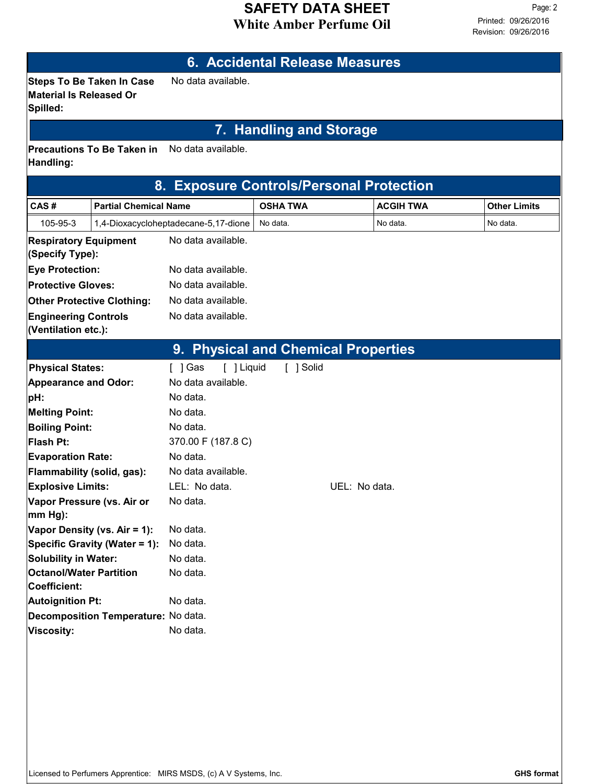#### **White Amber Perfume Oil SAFETY DATA SHEET**

# **6. Accidental Release Measures Steps To Be Taken In Case** No data available. **Material Is Released Or Spilled: 7. Handling and Storage Precautions To Be Taken in** No data available. **Handling: 8. Exposure Controls/Personal Protection CAS # Partial Chemical Name OSHA TWA ACGIH TWA Other Limits** 105-95-3 1,4-Dioxacycloheptadecane-5,17-dione No data. No data. No data. No data. **Respiratory Equipment** No data available. **(Specify Type): Eye Protection:** No data available. **Protective Gloves:** No data available. **Other Protective Clothing:** No data available. **Engineering Controls** No data available. **(Ventilation etc.): 9. Physical and Chemical Properties** Physical States: [ ] Gas [ ] Liquid [ ] Solid **Melting Point:** No data. **Boiling Point:** No data. **Flash Pt:** 370.00 F (187.8 C) **Explosive Limits:** LEL: No data. When the UEL: No data. **Vapor Pressure (vs. Air or mm Hg):** No data. **Vapor Density (vs. Air = 1):** No data. **Evaporation Rate:** No data. **pH:** No data. **Appearance and Odor:** No data available. **Flammability (solid, gas):** No data available. **Specific Gravity (Water = 1):** No data. **Solubility in Water:** No data. **Decomposition Temperature:** No data. **Autoignition Pt:** No data. **Viscosity:** No data. **Octanol/Water Partition Coefficient:** No data.

Licensed to Perfumers Apprentice: MIRS MSDS, (c) A V Systems, Inc. **GHS format GHS format**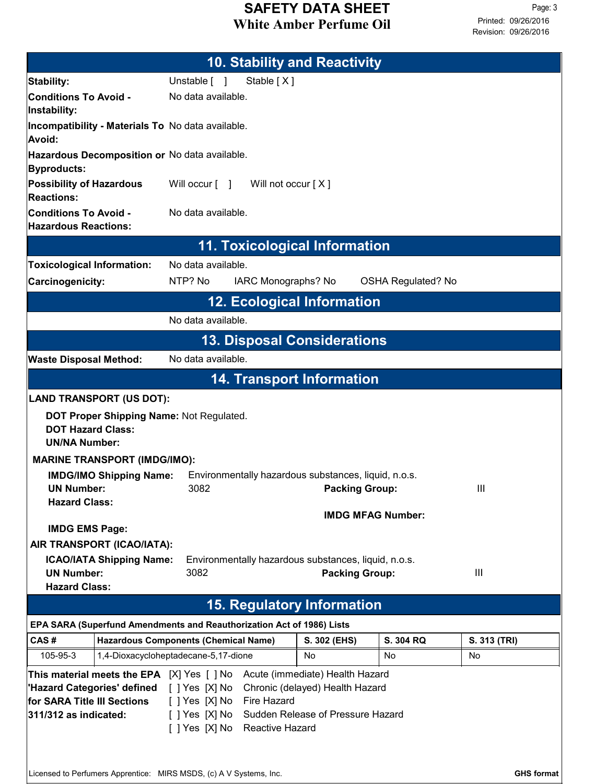## **White Amber Perfume Oil SAFETY DATA SHEET**

| <b>10. Stability and Reactivity</b>                                                                                                                                                                                                                                                                                                              |                                             |                    |                                                                        |              |                           |              |  |  |
|--------------------------------------------------------------------------------------------------------------------------------------------------------------------------------------------------------------------------------------------------------------------------------------------------------------------------------------------------|---------------------------------------------|--------------------|------------------------------------------------------------------------|--------------|---------------------------|--------------|--|--|
| Stability:                                                                                                                                                                                                                                                                                                                                       |                                             | Unstable [ ]       | Stable [X]                                                             |              |                           |              |  |  |
| <b>Conditions To Avoid -</b><br>Instability:                                                                                                                                                                                                                                                                                                     |                                             | No data available. |                                                                        |              |                           |              |  |  |
| Incompatibility - Materials To No data available.<br>Avoid:                                                                                                                                                                                                                                                                                      |                                             |                    |                                                                        |              |                           |              |  |  |
| Hazardous Decomposition or No data available.<br>Byproducts:                                                                                                                                                                                                                                                                                     |                                             |                    |                                                                        |              |                           |              |  |  |
| Possibility of Hazardous<br><b>Reactions:</b>                                                                                                                                                                                                                                                                                                    |                                             |                    | Will occur $\begin{bmatrix} 1 \\ 1 \end{bmatrix}$ Will not occur $[X]$ |              |                           |              |  |  |
| <b>Conditions To Avoid -</b><br><b>Hazardous Reactions:</b>                                                                                                                                                                                                                                                                                      | No data available.                          |                    |                                                                        |              |                           |              |  |  |
|                                                                                                                                                                                                                                                                                                                                                  |                                             |                    | <b>11. Toxicological Information</b>                                   |              |                           |              |  |  |
| <b>Toxicological Information:</b>                                                                                                                                                                                                                                                                                                                |                                             | No data available. |                                                                        |              |                           |              |  |  |
| Carcinogenicity:                                                                                                                                                                                                                                                                                                                                 |                                             | NTP? No            | IARC Monographs? No                                                    |              | <b>OSHA Regulated? No</b> |              |  |  |
|                                                                                                                                                                                                                                                                                                                                                  |                                             |                    | <b>12. Ecological Information</b>                                      |              |                           |              |  |  |
|                                                                                                                                                                                                                                                                                                                                                  |                                             | No data available. |                                                                        |              |                           |              |  |  |
|                                                                                                                                                                                                                                                                                                                                                  |                                             |                    | <b>13. Disposal Considerations</b>                                     |              |                           |              |  |  |
| <b>Waste Disposal Method:</b>                                                                                                                                                                                                                                                                                                                    |                                             | No data available. |                                                                        |              |                           |              |  |  |
|                                                                                                                                                                                                                                                                                                                                                  |                                             |                    | <b>14. Transport Information</b>                                       |              |                           |              |  |  |
| <b>LAND TRANSPORT (US DOT):</b>                                                                                                                                                                                                                                                                                                                  |                                             |                    |                                                                        |              |                           |              |  |  |
| <b>DOT Proper Shipping Name: Not Regulated.</b><br><b>DOT Hazard Class:</b><br><b>UN/NA Number:</b>                                                                                                                                                                                                                                              |                                             |                    |                                                                        |              |                           |              |  |  |
| <b>MARINE TRANSPORT (IMDG/IMO):</b>                                                                                                                                                                                                                                                                                                              |                                             |                    |                                                                        |              |                           |              |  |  |
| <b>IMDG/IMO Shipping Name:</b><br>Environmentally hazardous substances, liquid, n.o.s.<br><b>UN Number:</b><br>3082<br>Ш<br><b>Packing Group:</b>                                                                                                                                                                                                |                                             |                    |                                                                        |              |                           |              |  |  |
| <b>Hazard Class:</b>                                                                                                                                                                                                                                                                                                                             |                                             |                    |                                                                        |              | <b>IMDG MFAG Number:</b>  |              |  |  |
| <b>IMDG EMS Page:</b>                                                                                                                                                                                                                                                                                                                            |                                             |                    |                                                                        |              |                           |              |  |  |
| AIR TRANSPORT (ICAO/IATA):                                                                                                                                                                                                                                                                                                                       |                                             |                    |                                                                        |              |                           |              |  |  |
| <b>ICAO/IATA Shipping Name:</b><br><b>UN Number:</b>                                                                                                                                                                                                                                                                                             |                                             | 3082               | Environmentally hazardous substances, liquid, n.o.s.                   |              | <b>Packing Group:</b>     | III          |  |  |
| <b>Hazard Class:</b>                                                                                                                                                                                                                                                                                                                             |                                             |                    |                                                                        |              |                           |              |  |  |
| <b>15. Regulatory Information</b>                                                                                                                                                                                                                                                                                                                |                                             |                    |                                                                        |              |                           |              |  |  |
| EPA SARA (Superfund Amendments and Reauthorization Act of 1986) Lists                                                                                                                                                                                                                                                                            |                                             |                    |                                                                        |              |                           |              |  |  |
| CAS#                                                                                                                                                                                                                                                                                                                                             | <b>Hazardous Components (Chemical Name)</b> |                    |                                                                        | S. 302 (EHS) | S. 304 RQ                 | S. 313 (TRI) |  |  |
| 105-95-3                                                                                                                                                                                                                                                                                                                                         | 1,4-Dioxacycloheptadecane-5,17-dione        |                    |                                                                        | No           | No                        | No           |  |  |
| Acute (immediate) Health Hazard<br>This material meets the EPA [X] Yes [ ] No<br>[ ] Yes [X] No<br>Chronic (delayed) Health Hazard<br>'Hazard Categories' defined<br>for SARA Title III Sections<br>[ ] Yes [X] No Fire Hazard<br>[ ] Yes [X] No Sudden Release of Pressure Hazard<br>$ 311/312$ as indicated:<br>[ ] Yes [X] No Reactive Hazard |                                             |                    |                                                                        |              |                           |              |  |  |
| Licensed to Perfumers Apprentice: MIRS MSDS, (c) A V Systems, Inc.<br><b>GHS format</b>                                                                                                                                                                                                                                                          |                                             |                    |                                                                        |              |                           |              |  |  |

 $\label{eq:2.1} \frac{1}{2} \sum_{i=1}^n \frac{1}{2} \sum_{i=1}^n \frac{1}{2} \sum_{i=1}^n \frac{1}{2} \sum_{i=1}^n \frac{1}{2} \sum_{i=1}^n \frac{1}{2} \sum_{i=1}^n \frac{1}{2} \sum_{i=1}^n \frac{1}{2} \sum_{i=1}^n \frac{1}{2} \sum_{i=1}^n \frac{1}{2} \sum_{i=1}^n \frac{1}{2} \sum_{i=1}^n \frac{1}{2} \sum_{i=1}^n \frac{1}{2} \sum_{i=1}^n \frac{$